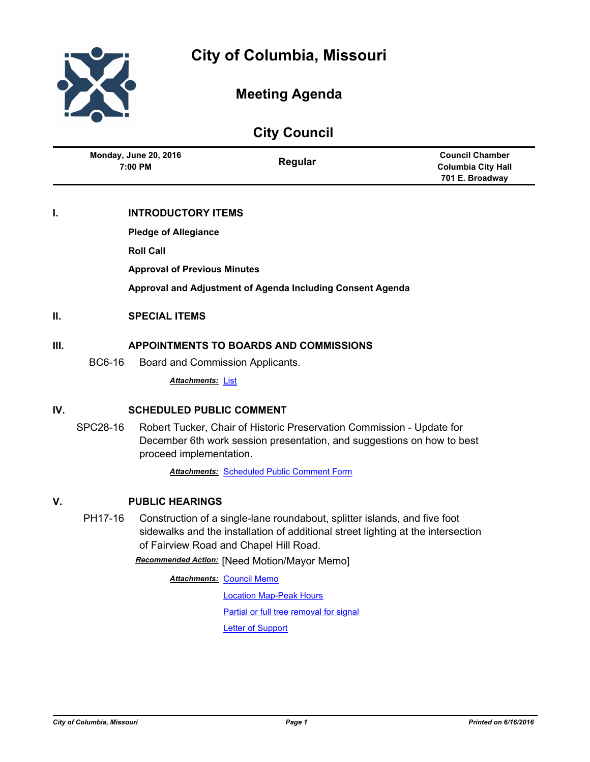

## **Meeting Agenda**

**City Council**

|                                         | <b>URITY COUNTER</b> |                           |
|-----------------------------------------|----------------------|---------------------------|
| <b>Monday, June 20, 2016</b><br>7:00 PM | Regular              | <b>Council Chamber</b>    |
|                                         |                      | <b>Columbia City Hall</b> |
|                                         |                      | 701 E. Broadway           |

## **I. INTRODUCTORY ITEMS**

**Pledge of Allegiance**

**Roll Call**

**Approval of Previous Minutes**

**Approval and Adjustment of Agenda Including Consent Agenda**

## **II. SPECIAL ITEMS**

## **III. APPOINTMENTS TO BOARDS AND COMMISSIONS**

BC6-16 Board and Commission Applicants.

*Attachments:* [List](http://gocolumbiamo.legistar.com/gateway.aspx?M=F&ID=b7ed8608-1d8e-4a30-b569-7181e35ac220.doc)

## **IV. SCHEDULED PUBLIC COMMENT**

SPC28-16 Robert Tucker, Chair of Historic Preservation Commission - Update for December 6th work session presentation, and suggestions on how to best proceed implementation.

*Attachments:* [Scheduled Public Comment Form](http://gocolumbiamo.legistar.com/gateway.aspx?M=F&ID=9cae1857-cfff-4f75-9abf-62c17df687d7.pdf)

## **V. PUBLIC HEARINGS**

PH17-16 Construction of a single-lane roundabout, splitter islands, and five foot sidewalks and the installation of additional street lighting at the intersection of Fairview Road and Chapel Hill Road.

*Recommended Action:* [Need Motion/Mayor Memo]

**Attachments: [Council Memo](http://gocolumbiamo.legistar.com/gateway.aspx?M=F&ID=a90de0d1-5efd-4a65-8f78-7e7a9f0cfe64.docx)** 

[Location Map-Peak Hours](http://gocolumbiamo.legistar.com/gateway.aspx?M=F&ID=d29ea48b-ce74-4cc6-a659-fe6df40a25a0.jpg) [Partial or full tree removal for signal](http://gocolumbiamo.legistar.com/gateway.aspx?M=F&ID=3001e410-216f-4bb3-9384-6ea9c1e8e0fb.docx) [Letter of Support](http://gocolumbiamo.legistar.com/gateway.aspx?M=F&ID=a58407ec-a6f6-4b7d-a663-101e44c60a18.pdf)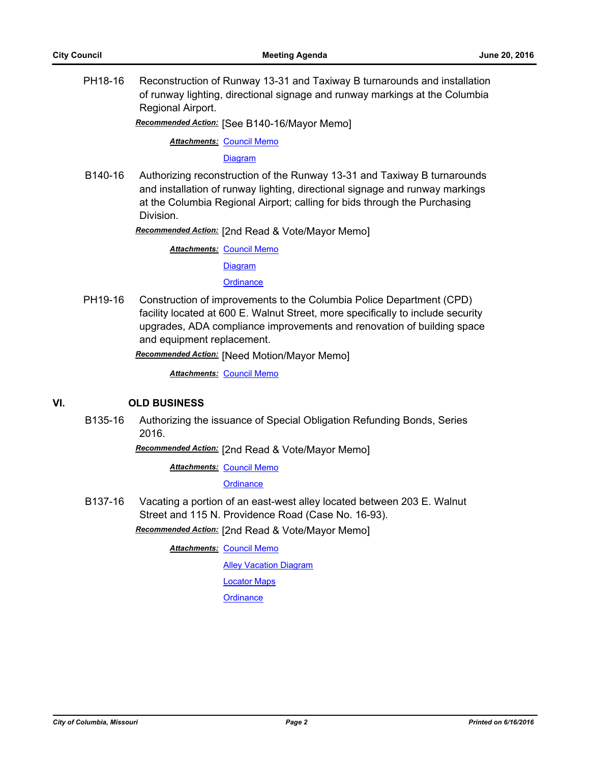PH18-16 Reconstruction of Runway 13-31 and Taxiway B turnarounds and installation of runway lighting, directional signage and runway markings at the Columbia Regional Airport.

*Recommended Action:* [See B140-16/Mayor Memo]

**Attachments: [Council Memo](http://gocolumbiamo.legistar.com/gateway.aspx?M=F&ID=c069dfd3-24c8-4ca6-aaad-29101073ed28.docx)** 

**[Diagram](http://gocolumbiamo.legistar.com/gateway.aspx?M=F&ID=5894f00f-bb79-478a-b130-2cb51f9dfa39.pdf)** 

B140-16 Authorizing reconstruction of the Runway 13-31 and Taxiway B turnarounds and installation of runway lighting, directional signage and runway markings at the Columbia Regional Airport; calling for bids through the Purchasing Division.

*Recommended Action:* [2nd Read & Vote/Mayor Memo]

**Attachments: [Council Memo](http://gocolumbiamo.legistar.com/gateway.aspx?M=F&ID=fda74745-516a-480a-9b22-1dbfefa5ce67.docx)** 

[Diagram](http://gocolumbiamo.legistar.com/gateway.aspx?M=F&ID=f7bd677b-6ab7-4244-b877-cc56238856d1.pdf)

**[Ordinance](http://gocolumbiamo.legistar.com/gateway.aspx?M=F&ID=6675cc82-32ff-4fde-a8eb-0a2a866599e3.doc)** 

PH19-16 Construction of improvements to the Columbia Police Department (CPD) facility located at 600 E. Walnut Street, more specifically to include security upgrades, ADA compliance improvements and renovation of building space and equipment replacement.

*Recommended Action:* [Need Motion/Mayor Memo]

*Attachments:* [Council Memo](http://gocolumbiamo.legistar.com/gateway.aspx?M=F&ID=e52ec444-602a-4f48-9a7f-bc024ac1c558.docx)

## **VI. OLD BUSINESS**

B135-16 Authorizing the issuance of Special Obligation Refunding Bonds, Series 2016.

*Recommended Action:* [2nd Read & Vote/Mayor Memo]

**Attachments: [Council Memo](http://gocolumbiamo.legistar.com/gateway.aspx?M=F&ID=89be2251-014c-468e-aeb3-5b04264c9196.docx)** 

**[Ordinance](http://gocolumbiamo.legistar.com/gateway.aspx?M=F&ID=416b59d8-ec4d-4832-9e8a-632e21f55365.pdf)** 

B137-16 Vacating a portion of an east-west alley located between 203 E. Walnut Street and 115 N. Providence Road (Case No. 16-93).

*Recommended Action:* [2nd Read & Vote/Mayor Memo]

**Attachments: [Council Memo](http://gocolumbiamo.legistar.com/gateway.aspx?M=F&ID=f82f34e4-7e57-41cf-8c69-990d7a81520a.docx)** 

**[Alley Vacation Diagram](http://gocolumbiamo.legistar.com/gateway.aspx?M=F&ID=defa49ef-9c76-4bc8-929e-76e4957563e8.pdf)** 

[Locator Maps](http://gocolumbiamo.legistar.com/gateway.aspx?M=F&ID=6d20b89d-0249-4cd6-8ccb-bc4dc58f0c78.pdf)

**[Ordinance](http://gocolumbiamo.legistar.com/gateway.aspx?M=F&ID=a2af0f16-bda8-41c2-8873-13d1fa5e0b46.doc)**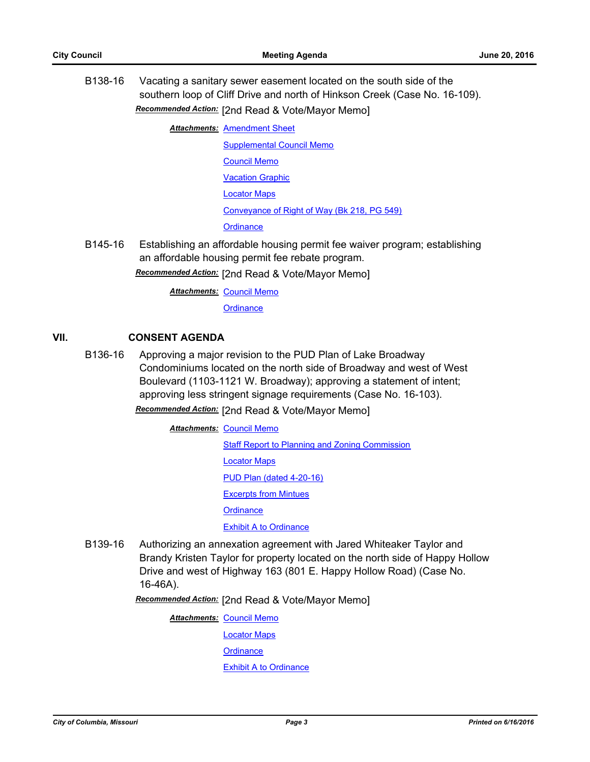B138-16 Vacating a sanitary sewer easement located on the south side of the southern loop of Cliff Drive and north of Hinkson Creek (Case No. 16-109). *Recommended Action:* [2nd Read & Vote/Mayor Memo]

**Attachments: [Amendment Sheet](http://gocolumbiamo.legistar.com/gateway.aspx?M=F&ID=521899b3-6eeb-4e43-b084-37d6b4a09af2.doc)** 

[Supplemental Council Memo](http://gocolumbiamo.legistar.com/gateway.aspx?M=F&ID=6a7747cc-ecce-496b-ad01-a59586de14ff.docx) [Council Memo](http://gocolumbiamo.legistar.com/gateway.aspx?M=F&ID=f3396302-8ec0-4b4f-aecd-f8b9daaf304a.docx) [Vacation Graphic](http://gocolumbiamo.legistar.com/gateway.aspx?M=F&ID=9cc6a0e2-c8c4-4be4-9765-ea6f1b05cd25.pdf) [Locator Maps](http://gocolumbiamo.legistar.com/gateway.aspx?M=F&ID=baef2928-154c-4902-9996-0e6b02056c37.pdf)

[Conveyance of Right of Way \(Bk 218, PG 549\)](http://gocolumbiamo.legistar.com/gateway.aspx?M=F&ID=6b5f7692-e2af-41da-b060-bd635467cedb.pdf)

**[Ordinance](http://gocolumbiamo.legistar.com/gateway.aspx?M=F&ID=c506f97f-dcb5-4a91-a601-7cf6ab7326cb.doc)** 

B145-16 Establishing an affordable housing permit fee waiver program; establishing an affordable housing permit fee rebate program.

*Recommended Action:* [2nd Read & Vote/Mayor Memo]

**Attachments: [Council Memo](http://gocolumbiamo.legistar.com/gateway.aspx?M=F&ID=e79f64c9-f88c-43bf-837e-96a3fb3f4646.docx)** 

**[Ordinance](http://gocolumbiamo.legistar.com/gateway.aspx?M=F&ID=71dfa06a-7dd2-4b51-881b-7c83228b88ad.doc)** 

## **VII. CONSENT AGENDA**

B136-16 Approving a major revision to the PUD Plan of Lake Broadway Condominiums located on the north side of Broadway and west of West Boulevard (1103-1121 W. Broadway); approving a statement of intent; approving less stringent signage requirements (Case No. 16-103).

*Recommended Action:* [2nd Read & Vote/Mayor Memo]

- **Attachments: [Council Memo](http://gocolumbiamo.legistar.com/gateway.aspx?M=F&ID=55692530-1509-409d-8aa3-989d44aa2b40.docx) [Staff Report to Planning and Zoning Commission](http://gocolumbiamo.legistar.com/gateway.aspx?M=F&ID=3ad70173-d750-41c5-ab53-f811271d524c.docx)** [Locator Maps](http://gocolumbiamo.legistar.com/gateway.aspx?M=F&ID=606aa52d-7964-423a-b434-6d42fc8fe629.pdf) [PUD Plan \(dated 4-20-16\)](http://gocolumbiamo.legistar.com/gateway.aspx?M=F&ID=9896c1f9-78f0-4896-9b12-d034fd8157d6.pdf) [Excerpts from Mintues](http://gocolumbiamo.legistar.com/gateway.aspx?M=F&ID=2a79eece-08eb-47ca-a3c9-e9fe6eee02a4.docx) **[Ordinance](http://gocolumbiamo.legistar.com/gateway.aspx?M=F&ID=3035f254-0f05-4c17-9937-575b7dd5a4f9.doc) [Exhibit A to Ordinance](http://gocolumbiamo.legistar.com/gateway.aspx?M=F&ID=539215c0-db05-4d5e-8ca6-f54bcf647b70.pdf)**
- B139-16 Authorizing an annexation agreement with Jared Whiteaker Taylor and Brandy Kristen Taylor for property located on the north side of Happy Hollow Drive and west of Highway 163 (801 E. Happy Hollow Road) (Case No. 16-46A).

*Recommended Action:* [2nd Read & Vote/Mayor Memo]

**Attachments: [Council Memo](http://gocolumbiamo.legistar.com/gateway.aspx?M=F&ID=3fe52965-0aac-4d18-87b8-cba7160d9fff.docx)** [Locator Maps](http://gocolumbiamo.legistar.com/gateway.aspx?M=F&ID=102db4d4-bb4c-4959-ba88-e31e377c0513.pdf) **[Ordinance](http://gocolumbiamo.legistar.com/gateway.aspx?M=F&ID=b9d913b6-a30c-448f-a46f-77e3a83fd414.doc)** [Exhibit A to Ordinance](http://gocolumbiamo.legistar.com/gateway.aspx?M=F&ID=648bc6d3-7314-4c2c-aa4f-366c4956fa00.pdf)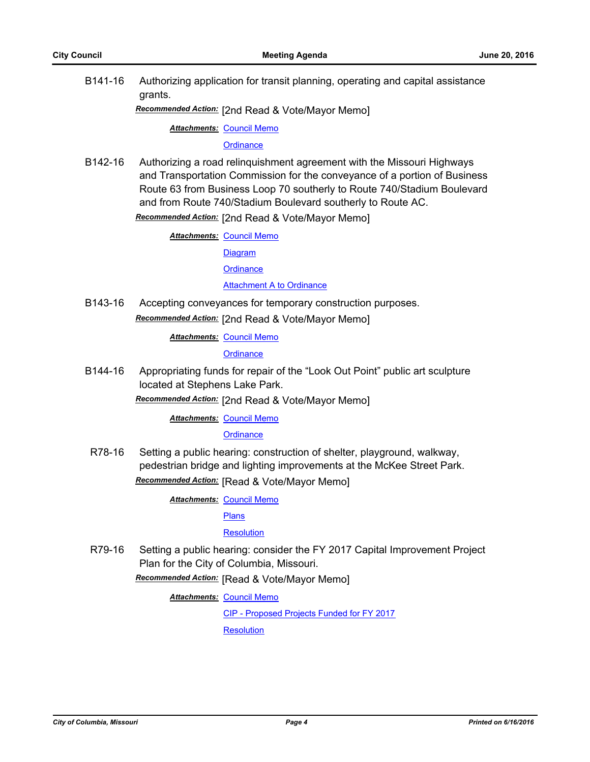B141-16 Authorizing application for transit planning, operating and capital assistance grants.

*Recommended Action:* [2nd Read & Vote/Mayor Memo]

**Attachments: [Council Memo](http://gocolumbiamo.legistar.com/gateway.aspx?M=F&ID=959b5081-1323-4b06-a21b-89e605eccfe6.docx)** 

**[Ordinance](http://gocolumbiamo.legistar.com/gateway.aspx?M=F&ID=45f999ec-295f-42b9-8517-282f091be708.doc)** 

B142-16 Authorizing a road relinquishment agreement with the Missouri Highways and Transportation Commission for the conveyance of a portion of Business Route 63 from Business Loop 70 southerly to Route 740/Stadium Boulevard and from Route 740/Stadium Boulevard southerly to Route AC.

*Recommended Action:* [2nd Read & Vote/Mayor Memo]

**Attachments: [Council Memo](http://gocolumbiamo.legistar.com/gateway.aspx?M=F&ID=110aef6e-2580-4a02-b386-1763bfd05b27.docx)** 

[Diagram](http://gocolumbiamo.legistar.com/gateway.aspx?M=F&ID=ee15a4ff-66dd-41e9-8ff3-95bacbcf6ca4.pdf)

**[Ordinance](http://gocolumbiamo.legistar.com/gateway.aspx?M=F&ID=d14fdec7-14a4-4076-b98c-b1ea4c5c1b1c.doc)** 

**[Attachment A to Ordinance](http://gocolumbiamo.legistar.com/gateway.aspx?M=F&ID=b908847b-bc46-4f36-81f2-26a84ffeeac1.pdf)** 

B143-16 Accepting conveyances for temporary construction purposes. *Recommended Action:* [2nd Read & Vote/Mayor Memo]

**Attachments: [Council Memo](http://gocolumbiamo.legistar.com/gateway.aspx?M=F&ID=782979f0-52af-44e7-b72a-9ccb5a01f97d.docx)** 

**[Ordinance](http://gocolumbiamo.legistar.com/gateway.aspx?M=F&ID=997b3687-9690-435f-8bf5-93f5bb56f52d.doc)** 

B144-16 Appropriating funds for repair of the "Look Out Point" public art sculpture located at Stephens Lake Park.

*Recommended Action:* [2nd Read & Vote/Mayor Memo]

**Attachments: [Council Memo](http://gocolumbiamo.legistar.com/gateway.aspx?M=F&ID=050c7c81-72bb-445e-9bfb-5c59948c5ada.docx)** 

#### **[Ordinance](http://gocolumbiamo.legistar.com/gateway.aspx?M=F&ID=1b2df802-c8b2-4b97-b1e7-78c8ac12aa1f.doc)**

R78-16 Setting a public hearing: construction of shelter, playground, walkway, pedestrian bridge and lighting improvements at the McKee Street Park. *Recommended Action:* [Read & Vote/Mayor Memo]

**Attachments: [Council Memo](http://gocolumbiamo.legistar.com/gateway.aspx?M=F&ID=372f9892-aa57-4d87-933b-6f865122f1bf.docx)** 

[Plans](http://gocolumbiamo.legistar.com/gateway.aspx?M=F&ID=5e167e7d-255b-4871-ba85-b6f9b8fa7f61.pdf)

**[Resolution](http://gocolumbiamo.legistar.com/gateway.aspx?M=F&ID=cc2c4875-41f3-4172-b1f5-5255c913e49c.doc)** 

R79-16 Setting a public hearing: consider the FY 2017 Capital Improvement Project Plan for the City of Columbia, Missouri.

*Recommended Action:* [Read & Vote/Mayor Memo]

**Attachments: [Council Memo](http://gocolumbiamo.legistar.com/gateway.aspx?M=F&ID=fee192d6-2701-48a1-b42f-ab80b36d8c45.docx)** 

[CIP - Proposed Projects Funded for FY 2017](http://gocolumbiamo.legistar.com/gateway.aspx?M=F&ID=9765bb1f-5e98-4f66-876c-b474c2d5492c.pdf)

**[Resolution](http://gocolumbiamo.legistar.com/gateway.aspx?M=F&ID=74762ad6-f9fc-487b-8f18-22ce87b2aa41.doc)**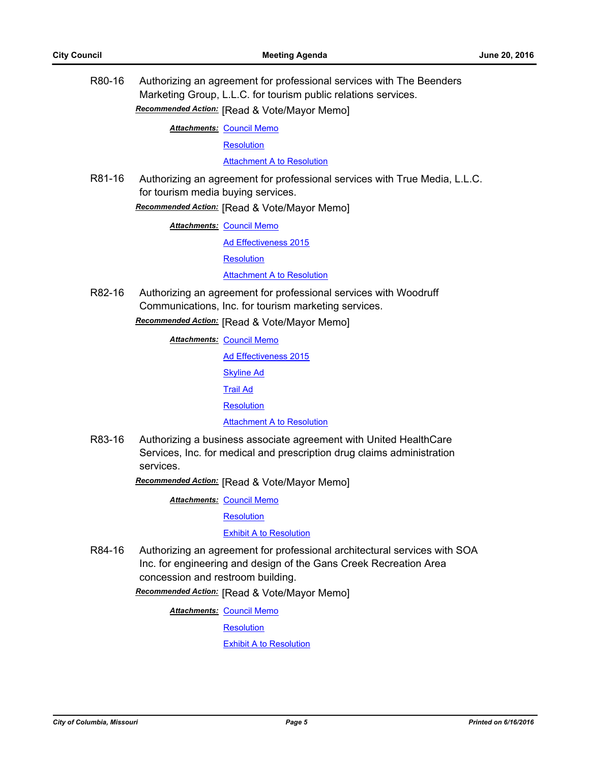R80-16 Authorizing an agreement for professional services with The Beenders Marketing Group, L.L.C. for tourism public relations services. *Recommended Action:* [Read & Vote/Mayor Memo]

**Attachments: [Council Memo](http://gocolumbiamo.legistar.com/gateway.aspx?M=F&ID=ee6d18d1-ed56-4d0f-a143-ac4f8996e168.docx)** 

**[Resolution](http://gocolumbiamo.legistar.com/gateway.aspx?M=F&ID=adb06cef-babd-4956-b3ff-333331213553.doc)** 

[Attachment A to Resolution](http://gocolumbiamo.legistar.com/gateway.aspx?M=F&ID=70d47cbc-d27d-45e6-a8d1-3d0858e37e4e.pdf)

R81-16 Authorizing an agreement for professional services with True Media, L.L.C. for tourism media buying services.

*Recommended Action:* [Read & Vote/Mayor Memo]

**Attachments: [Council Memo](http://gocolumbiamo.legistar.com/gateway.aspx?M=F&ID=9b17168a-a8cf-4bc6-8102-90f52a2218d7.docx)** 

[Ad Effectiveness 2015](http://gocolumbiamo.legistar.com/gateway.aspx?M=F&ID=5e1d3fd6-fc7f-49c1-8750-17cf3957591e.pdf)

**[Resolution](http://gocolumbiamo.legistar.com/gateway.aspx?M=F&ID=949b1dbf-1ba9-4315-be45-7ed61afa2e16.doc)** 

**[Attachment A to Resolution](http://gocolumbiamo.legistar.com/gateway.aspx?M=F&ID=6bcf58a3-a7bb-4755-9cde-832d94a03f74.pdf)** 

R82-16 Authorizing an agreement for professional services with Woodruff Communications, Inc. for tourism marketing services.

*Recommended Action:* [Read & Vote/Mayor Memo]

**Attachments: [Council Memo](http://gocolumbiamo.legistar.com/gateway.aspx?M=F&ID=aa31a252-938a-4318-b5df-7b8b080af55c.docx)** [Ad Effectiveness 2015](http://gocolumbiamo.legistar.com/gateway.aspx?M=F&ID=b1534f7c-c0e2-4f2f-9691-f9443355ecd4.pdf) [Skyline Ad](http://gocolumbiamo.legistar.com/gateway.aspx?M=F&ID=4e5d2d16-6fbd-4dd3-97f9-ba6390d4dbf3.pdf) [Trail Ad](http://gocolumbiamo.legistar.com/gateway.aspx?M=F&ID=b4ab1c7a-5fa2-4bd0-a6d8-8fb164165f92.pdf) **[Resolution](http://gocolumbiamo.legistar.com/gateway.aspx?M=F&ID=143fdf8a-67e9-42fe-9c31-821573a176c9.doc)** [Attachment A to Resolution](http://gocolumbiamo.legistar.com/gateway.aspx?M=F&ID=0d41e88e-bb79-4428-89a7-f3993864cdff.pdf)

R83-16 Authorizing a business associate agreement with United HealthCare Services, Inc. for medical and prescription drug claims administration services.

*Recommended Action:* [Read & Vote/Mayor Memo]

**Attachments: [Council Memo](http://gocolumbiamo.legistar.com/gateway.aspx?M=F&ID=f8d462cc-1454-41b2-ba10-8b1435986989.docx)** 

**[Resolution](http://gocolumbiamo.legistar.com/gateway.aspx?M=F&ID=8f523634-1cfa-4314-a4da-4b449fb4c98b.doc)** 

[Exhibit A to Resolution](http://gocolumbiamo.legistar.com/gateway.aspx?M=F&ID=a1f02cd8-cd26-4d33-b5da-6d99743d8e85.doc)

R84-16 Authorizing an agreement for professional architectural services with SOA Inc. for engineering and design of the Gans Creek Recreation Area concession and restroom building.

*Recommended Action:* [Read & Vote/Mayor Memo]

**Attachments: [Council Memo](http://gocolumbiamo.legistar.com/gateway.aspx?M=F&ID=ed8ea836-792c-4a99-8170-a464dab12f68.docx)** 

**[Resolution](http://gocolumbiamo.legistar.com/gateway.aspx?M=F&ID=3d20438b-86a1-428f-9eca-ab1bc560ff3c.doc)** 

[Exhibit A to Resolution](http://gocolumbiamo.legistar.com/gateway.aspx?M=F&ID=0fbc17b5-74bb-4438-8b7b-9a335dd4b0cc.pdf)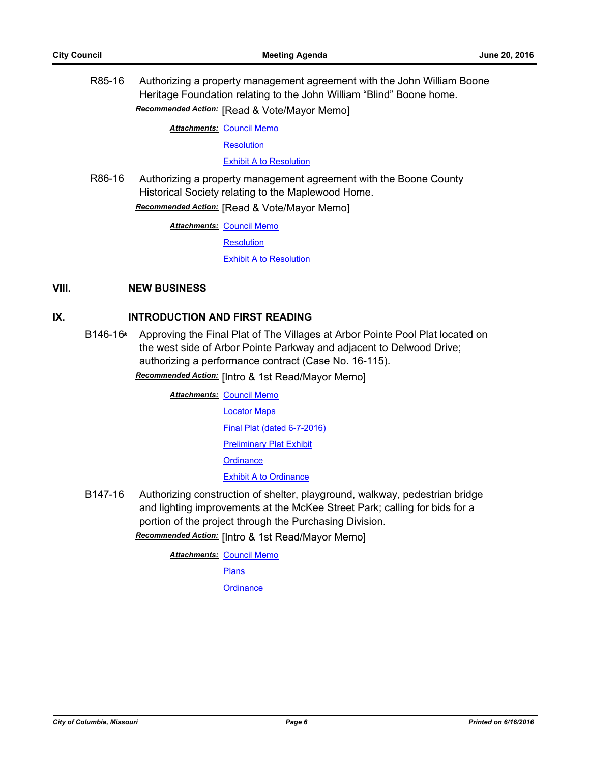R85-16 Authorizing a property management agreement with the John William Boone Heritage Foundation relating to the John William "Blind" Boone home. *Recommended Action:* [Read & Vote/Mayor Memo]

**Attachments: [Council Memo](http://gocolumbiamo.legistar.com/gateway.aspx?M=F&ID=4a703145-2f29-4c73-a7db-c673bbcd8dd4.docx)** 

**[Resolution](http://gocolumbiamo.legistar.com/gateway.aspx?M=F&ID=6ad86675-3705-4ffb-b101-30141daba7e8.doc)** 

[Exhibit A to Resolution](http://gocolumbiamo.legistar.com/gateway.aspx?M=F&ID=d5276b1b-b8a1-4aea-8e60-edceb6ad4641.pdf)

R86-16 Authorizing a property management agreement with the Boone County Historical Society relating to the Maplewood Home. *Recommended Action:* [Read & Vote/Mayor Memo]

**Attachments: [Council Memo](http://gocolumbiamo.legistar.com/gateway.aspx?M=F&ID=3155fdda-30f5-486d-8704-09ae114be2e3.docx)** 

**[Resolution](http://gocolumbiamo.legistar.com/gateway.aspx?M=F&ID=71a5a19c-dac5-424c-83af-dfb51e4eb4b9.doc)** 

[Exhibit A to Resolution](http://gocolumbiamo.legistar.com/gateway.aspx?M=F&ID=5761362b-d41a-40de-8089-abb2afcd4f21.pdf)

## **VIII. NEW BUSINESS**

## **IX. INTRODUCTION AND FIRST READING**

B146-16**\*** Approving the Final Plat of The Villages at Arbor Pointe Pool Plat located on the west side of Arbor Pointe Parkway and adjacent to Delwood Drive; authorizing a performance contract (Case No. 16-115).

*Recommended Action:* [Intro & 1st Read/Mayor Memo]

**Attachments: [Council Memo](http://gocolumbiamo.legistar.com/gateway.aspx?M=F&ID=0048a2a9-ffc7-49f7-9b05-835d4f1dea34.docx)** [Locator Maps](http://gocolumbiamo.legistar.com/gateway.aspx?M=F&ID=07b2734a-79ff-454b-afdd-75ee1d10771b.pdf) [Final Plat \(dated 6-7-2016\)](http://gocolumbiamo.legistar.com/gateway.aspx?M=F&ID=22959321-e458-4040-8e2c-07817efc2fbb.pdf) [Preliminary Plat Exhibit](http://gocolumbiamo.legistar.com/gateway.aspx?M=F&ID=1ce4d5d4-8ea5-4363-9ffb-eb487facc2c8.pdf) **[Ordinance](http://gocolumbiamo.legistar.com/gateway.aspx?M=F&ID=e4da252b-6e00-4bbb-bab7-c9d3870a1d38.doc)** [Exhibit A to Ordinance](http://gocolumbiamo.legistar.com/gateway.aspx?M=F&ID=8f2a285b-b877-45a9-a483-580c07222e95.pdf)

B147-16 Authorizing construction of shelter, playground, walkway, pedestrian bridge and lighting improvements at the McKee Street Park; calling for bids for a portion of the project through the Purchasing Division.

*Recommended Action:* [Intro & 1st Read/Mayor Memo]

**Attachments: [Council Memo](http://gocolumbiamo.legistar.com/gateway.aspx?M=F&ID=056b0227-0ca7-460e-bc01-38a639bd86ea.docx)** 

[Plans](http://gocolumbiamo.legistar.com/gateway.aspx?M=F&ID=1af6f40b-a51b-4e28-88e8-16f0a637743a.pdf)

**[Ordinance](http://gocolumbiamo.legistar.com/gateway.aspx?M=F&ID=8330720e-a013-4cf8-9833-fe21aa4b4a84.doc)**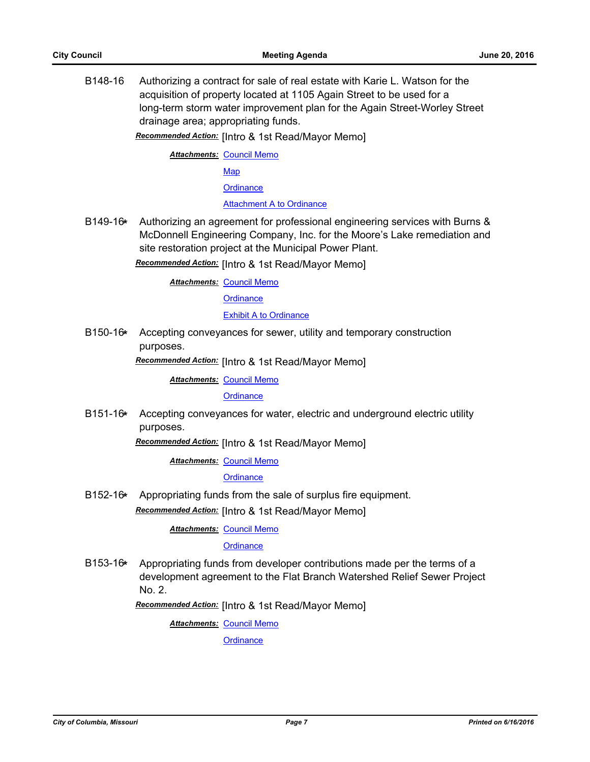B148-16 Authorizing a contract for sale of real estate with Karie L. Watson for the acquisition of property located at 1105 Again Street to be used for a long-term storm water improvement plan for the Again Street-Worley Street drainage area; appropriating funds.

*Recommended Action:* [Intro & 1st Read/Mayor Memo]

**Attachments: [Council Memo](http://gocolumbiamo.legistar.com/gateway.aspx?M=F&ID=bbce2955-8890-4c10-be7b-fb80561b1770.docx)** 

[Map](http://gocolumbiamo.legistar.com/gateway.aspx?M=F&ID=764e62f4-911e-4623-8b74-7ce89bd9ae87.jpg)

**[Ordinance](http://gocolumbiamo.legistar.com/gateway.aspx?M=F&ID=8806aedd-052e-462e-9180-2826010268e4.doc)** 

#### [Attachment A to Ordinance](http://gocolumbiamo.legistar.com/gateway.aspx?M=F&ID=10d8ae0c-1688-4004-af7f-87bcf41237a6.pdf)

B149-16**\*** Authorizing an agreement for professional engineering services with Burns & McDonnell Engineering Company, Inc. for the Moore's Lake remediation and site restoration project at the Municipal Power Plant.

*Recommended Action:* [Intro & 1st Read/Mayor Memo]

**Attachments: [Council Memo](http://gocolumbiamo.legistar.com/gateway.aspx?M=F&ID=0c6f366c-7644-4db9-9efb-e54d5e7d9a8b.docx)** 

**[Ordinance](http://gocolumbiamo.legistar.com/gateway.aspx?M=F&ID=13269f86-220d-46d3-bc0b-4c91c63327be.doc)** 

#### [Exhibit A to Ordinance](http://gocolumbiamo.legistar.com/gateway.aspx?M=F&ID=0890c0ce-ef92-44d2-95d3-d9d20fcde442.pdf)

B150-16**\*** Accepting conveyances for sewer, utility and temporary construction purposes.

*Recommended Action:* [Intro & 1st Read/Mayor Memo]

**Attachments: [Council Memo](http://gocolumbiamo.legistar.com/gateway.aspx?M=F&ID=ee893bbe-9da2-49c8-b3f7-a1103f79929e.docx)** 

**[Ordinance](http://gocolumbiamo.legistar.com/gateway.aspx?M=F&ID=0c21f41a-1614-447c-ac5d-bc32f22c2542.doc)** 

B151-16**\*** Accepting conveyances for water, electric and underground electric utility purposes.

*Recommended Action:* [Intro & 1st Read/Mayor Memo]

**Attachments: [Council Memo](http://gocolumbiamo.legistar.com/gateway.aspx?M=F&ID=9225b590-b868-4712-9c92-b70d95813ac7.docx)** 

**[Ordinance](http://gocolumbiamo.legistar.com/gateway.aspx?M=F&ID=824bceb0-8878-4cbb-b6bd-ed8e195f0f6f.doc)** 

B152-16**\*** Appropriating funds from the sale of surplus fire equipment. *Recommended Action:* [Intro & 1st Read/Mayor Memo]

**Attachments: [Council Memo](http://gocolumbiamo.legistar.com/gateway.aspx?M=F&ID=70cc96cc-7e7a-47a9-8d73-b6e41013e1b1.docx)** 

**[Ordinance](http://gocolumbiamo.legistar.com/gateway.aspx?M=F&ID=84ecf7cd-ddf4-488e-85fe-0d28d65f7ada.doc)** 

B153-16**\*** Appropriating funds from developer contributions made per the terms of a development agreement to the Flat Branch Watershed Relief Sewer Project No. 2.

*Recommended Action:* [Intro & 1st Read/Mayor Memo]

**Attachments: [Council Memo](http://gocolumbiamo.legistar.com/gateway.aspx?M=F&ID=d5f4aed6-09dd-474b-a86d-35fc6b55c4ad.docx)** 

**[Ordinance](http://gocolumbiamo.legistar.com/gateway.aspx?M=F&ID=55352c48-6598-41c2-9f1e-bfe48ab3a4ed.doc)**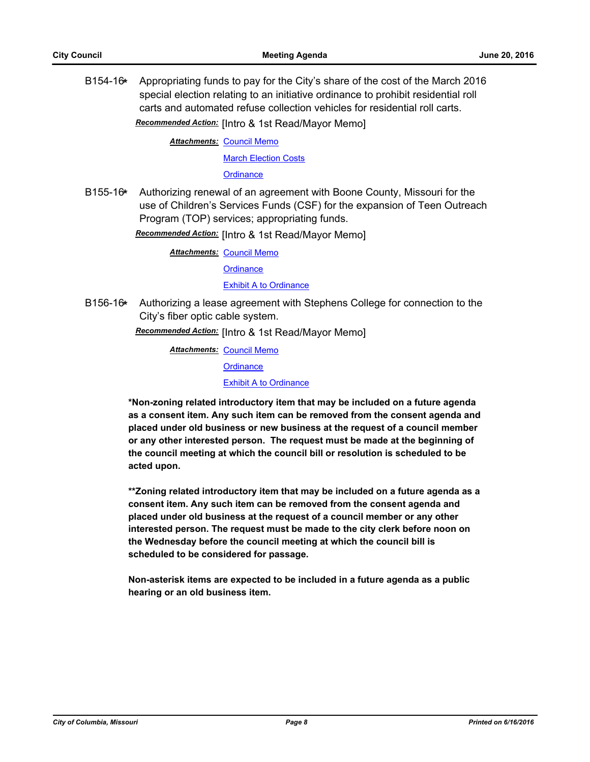B154-16**\*** Appropriating funds to pay for the City's share of the cost of the March 2016 special election relating to an initiative ordinance to prohibit residential roll carts and automated refuse collection vehicles for residential roll carts.

*Recommended Action:* [Intro & 1st Read/Mayor Memo]

**Attachments: [Council Memo](http://gocolumbiamo.legistar.com/gateway.aspx?M=F&ID=dee44813-3d8e-486f-b2e2-1251fa43c3e2.docx)** [March Election Costs](http://gocolumbiamo.legistar.com/gateway.aspx?M=F&ID=d081b7a2-a31b-446a-b9ae-649da1ef6970.pdf)

**[Ordinance](http://gocolumbiamo.legistar.com/gateway.aspx?M=F&ID=fb7cfc34-458f-4ee4-b19c-e134be29b8a7.doc)** 

B155-16**\*** Authorizing renewal of an agreement with Boone County, Missouri for the use of Children's Services Funds (CSF) for the expansion of Teen Outreach Program (TOP) services; appropriating funds.

*Recommended Action:* [Intro & 1st Read/Mayor Memo]

**Attachments: [Council Memo](http://gocolumbiamo.legistar.com/gateway.aspx?M=F&ID=b956e2c0-dbec-4d64-9b54-e7b4fbc977c0.docx)** 

**[Ordinance](http://gocolumbiamo.legistar.com/gateway.aspx?M=F&ID=4ee66d7d-8746-46b4-95ed-c584b0361414.doc)** 

**[Exhibit A to Ordinance](http://gocolumbiamo.legistar.com/gateway.aspx?M=F&ID=7ff61985-e3b4-4e3e-8f4f-2c7562e1474c.docx)** 

B156-16**\*** Authorizing a lease agreement with Stephens College for connection to the City's fiber optic cable system.

*Recommended Action:* [Intro & 1st Read/Mayor Memo]

**Attachments: [Council Memo](http://gocolumbiamo.legistar.com/gateway.aspx?M=F&ID=658d6715-4143-4751-adaf-c97392b15d3e.docx)** 

**[Ordinance](http://gocolumbiamo.legistar.com/gateway.aspx?M=F&ID=dd76e896-1645-468c-83ee-2ff324298203.doc)** 

[Exhibit A to Ordinance](http://gocolumbiamo.legistar.com/gateway.aspx?M=F&ID=b47163a1-a6a1-483f-9055-e1dcfb6bc0f8.pdf)

**\*Non-zoning related introductory item that may be included on a future agenda as a consent item. Any such item can be removed from the consent agenda and placed under old business or new business at the request of a council member or any other interested person. The request must be made at the beginning of the council meeting at which the council bill or resolution is scheduled to be acted upon.** 

**\*\*Zoning related introductory item that may be included on a future agenda as a consent item. Any such item can be removed from the consent agenda and placed under old business at the request of a council member or any other interested person. The request must be made to the city clerk before noon on the Wednesday before the council meeting at which the council bill is scheduled to be considered for passage.**

**Non-asterisk items are expected to be included in a future agenda as a public hearing or an old business item.**